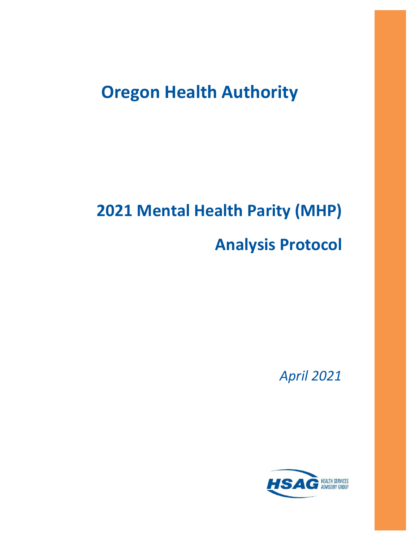# **Oregon Health Authority**

# **2021 Mental Health Parity (MHP)**

# **Analysis Protocol**

*April 2021*

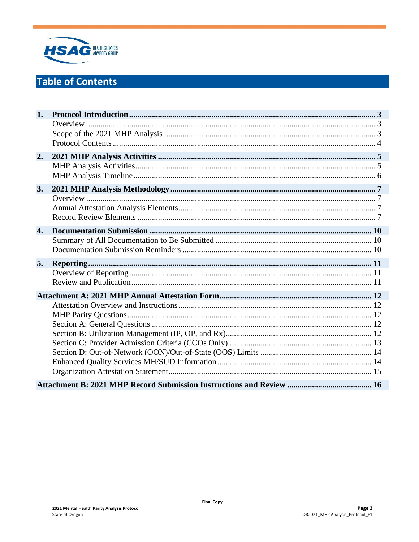

# **Table of Contents**

| 1.               |  |
|------------------|--|
|                  |  |
|                  |  |
|                  |  |
| 2.               |  |
|                  |  |
|                  |  |
| 3.               |  |
|                  |  |
|                  |  |
|                  |  |
| $\overline{4}$ . |  |
|                  |  |
|                  |  |
| 5.               |  |
|                  |  |
|                  |  |
|                  |  |
|                  |  |
|                  |  |
|                  |  |
|                  |  |
|                  |  |
|                  |  |
|                  |  |
|                  |  |
|                  |  |
|                  |  |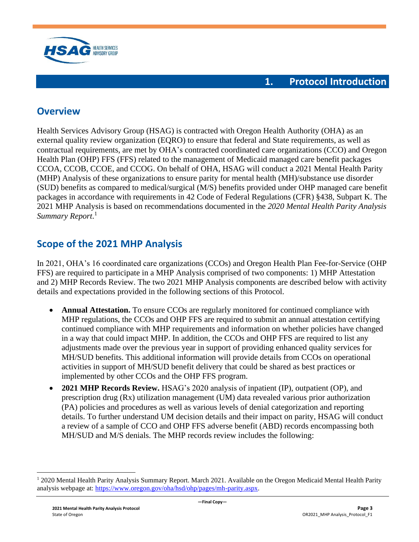

#### <span id="page-2-1"></span><span id="page-2-0"></span>**Overview**

Health Services Advisory Group (HSAG) is contracted with Oregon Health Authority (OHA) as an external quality review organization (EQRO) to ensure that federal and State requirements, as well as contractual requirements, are met by OHA's contracted coordinated care organizations (CCO) and Oregon Health Plan (OHP) FFS (FFS) related to the management of Medicaid managed care benefit packages CCOA, CCOB, CCOE, and CCOG. On behalf of OHA, HSAG will conduct a 2021 Mental Health Parity (MHP) Analysis of these organizations to ensure parity for mental health (MH)/substance use disorder (SUD) benefits as compared to medical/surgical (M/S) benefits provided under OHP managed care benefit packages in accordance with requirements in 42 Code of Federal Regulations (CFR) §438, Subpart K. The 2021 MHP Analysis is based on recommendations documented in the *2020 Mental Health Parity Analysis Summary Report*. 1

#### <span id="page-2-2"></span>**Scope of the 2021 MHP Analysis**

In 2021, OHA's 16 coordinated care organizations (CCOs) and Oregon Health Plan Fee-for-Service (OHP FFS) are required to participate in a MHP Analysis comprised of two components: 1) MHP Attestation and 2) MHP Records Review. The two 2021 MHP Analysis components are described below with activity details and expectations provided in the following sections of this Protocol.

- **Annual Attestation.** To ensure CCOs are regularly monitored for continued compliance with MHP regulations, the CCOs and OHP FFS are required to submit an annual attestation certifying continued compliance with MHP requirements and information on whether policies have changed in a way that could impact MHP. In addition, the CCOs and OHP FFS are required to list any adjustments made over the previous year in support of providing enhanced quality services for MH/SUD benefits. This additional information will provide details from CCOs on operational activities in support of MH/SUD benefit delivery that could be shared as best practices or implemented by other CCOs and the OHP FFS program.
- **2021 MHP Records Review.** HSAG's 2020 analysis of inpatient (IP), outpatient (OP), and prescription drug (Rx) utilization management (UM) data revealed various prior authorization (PA) policies and procedures as well as various levels of denial categorization and reporting details. To further understand UM decision details and their impact on parity, HSAG will conduct a review of a sample of CCO and OHP FFS adverse benefit (ABD) records encompassing both MH/SUD and M/S denials. The MHP records review includes the following:

<sup>1</sup> 2020 Mental Health Parity Analysis Summary Report. March 2021. Available on the Oregon Medicaid Mental Health Parity analysis webpage at: [https://www.oregon.gov/oha/hsd/ohp/pages/mh-parity.aspx.](https://www.oregon.gov/oha/hsd/ohp/pages/mh-parity.aspx)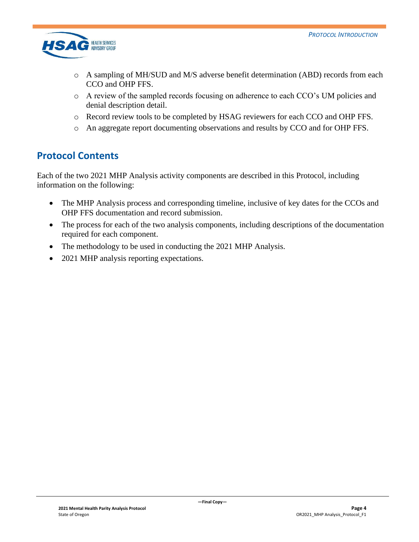

- o A sampling of MH/SUD and M/S adverse benefit determination (ABD) records from each CCO and OHP FFS.
- o A review of the sampled records focusing on adherence to each CCO's UM policies and denial description detail.
- o Record review tools to be completed by HSAG reviewers for each CCO and OHP FFS.
- o An aggregate report documenting observations and results by CCO and for OHP FFS.

#### <span id="page-3-0"></span>**Protocol Contents**

Each of the two 2021 MHP Analysis activity components are described in this Protocol, including information on the following:

- The MHP Analysis process and corresponding timeline, inclusive of key dates for the CCOs and OHP FFS documentation and record submission.
- The process for each of the two analysis components, including descriptions of the documentation required for each component.
- The methodology to be used in conducting the 2021 MHP Analysis.
- 2021 MHP analysis reporting expectations.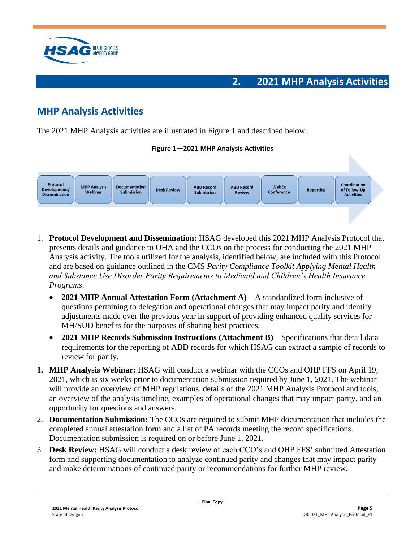

# <span id="page-4-1"></span><span id="page-4-0"></span>**MHP Analysis Activities**

The 2021 MHP Analysis activities are illustrated in Figure 1 and described below.

#### **Figure 1—2021 MHP Analysis Activities**



- 1. **Protocol Development and Dissemination:** HSAG developed this 2021 MHP Analysis Protocol that presents details and guidance to OHA and the CCOs on the process for conducting the 2021 MHP Analysis activity. The tools utilized for the analysis, identified below, are included with this Protocol and are based on guidance outlined in the CMS *Parity Compliance Toolkit Applying Mental Health and Substance Use Disorder Parity Requirements to Medicaid and Children's Health Insurance Programs*.
	- **2021 MHP Annual Attestation Form (Attachment A)**—A standardized form inclusive of questions pertaining to delegation and operational changes that may impact parity and identify adjustments made over the previous year in support of providing enhanced quality services for MH/SUD benefits for the purposes of sharing best practices.
	- **2021 MHP Records Submission Instructions (Attachment B)**—Specifications that detail data requirements for the reporting of ABD records for which HSAG can extract a sample of records to review for parity.
- **1. MHP Analysis Webinar:** HSAG will conduct a webinar with the CCOs and OHP FFS on April 19, 2021, which is six weeks prior to documentation submission required by June 1, 2021. The webinar will provide an overview of MHP regulations, details of the 2021 MHP Analysis Protocol and tools, an overview of the analysis timeline, examples of operational changes that may impact parity, and an opportunity for questions and answers.
- 2. **Documentation Submission:** The CCOs are required to submit MHP documentation that includes the completed annual attestation form and a list of PA records meeting the record specifications. Documentation submission is required on or before June 1, 2021.
- 3. **Desk Review:** HSAG will conduct a desk review of each CCO's and OHP FFS' submitted Attestation form and supporting documentation to analyze continued parity and changes that may impact parity and make determinations of continued parity or recommendations for further MHP review.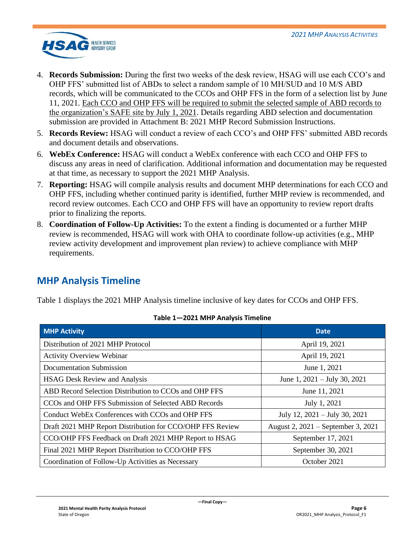

- 4. **Records Submission:** During the first two weeks of the desk review, HSAG will use each CCO's and OHP FFS' submitted list of ABDs to select a random sample of 10 MH/SUD and 10 M/S ABD records, which will be communicated to the CCOs and OHP FFS in the form of a selection list by June 11, 2021. Each CCO and OHP FFS will be required to submit the selected sample of ABD records to the organization's SAFE site by July 1, 2021. Details regarding ABD selection and documentation submission are provided in Attachment B: 2021 MHP Record Submission Instructions.
- 5. **Records Review:** HSAG will conduct a review of each CCO's and OHP FFS' submitted ABD records and document details and observations.
- 6. **WebEx Conference:** HSAG will conduct a WebEx conference with each CCO and OHP FFS to discuss any areas in need of clarification. Additional information and documentation may be requested at that time, as necessary to support the 2021 MHP Analysis.
- 7. **Reporting:** HSAG will compile analysis results and document MHP determinations for each CCO and OHP FFS, including whether continued parity is identified, further MHP review is recommended, and record review outcomes. Each CCO and OHP FFS will have an opportunity to review report drafts prior to finalizing the reports.
- 8. **Coordination of Follow-Up Activities:** To the extent a finding is documented or a further MHP review is recommended, HSAG will work with OHA to coordinate follow-up activities (e.g., MHP review activity development and improvement plan review) to achieve compliance with MHP requirements.

## <span id="page-5-0"></span>**MHP Analysis Timeline**

Table 1 displays the 2021 MHP Analysis timeline inclusive of key dates for CCOs and OHP FFS.

| <b>MHP Activity</b>                                       | <b>Date</b>                            |
|-----------------------------------------------------------|----------------------------------------|
| Distribution of 2021 MHP Protocol                         | April 19, 2021                         |
| <b>Activity Overview Webinar</b>                          | April 19, 2021                         |
| Documentation Submission                                  | June 1, 2021                           |
| <b>HSAG Desk Review and Analysis</b>                      | June 1, $2021 - \text{July } 30, 2021$ |
| ABD Record Selection Distribution to CCOs and OHP FFS     | June 11, 2021                          |
| CCOs and OHP FFS Submission of Selected ABD Records       | July 1, 2021                           |
| Conduct WebEx Conferences with CCOs and OHP FFS           | July 12, 2021 – July 30, 2021          |
| Draft 2021 MHP Report Distribution for CCO/OHP FFS Review | August 2, 2021 – September 3, 2021     |
| CCO/OHP FFS Feedback on Draft 2021 MHP Report to HSAG     | September 17, 2021                     |
| Final 2021 MHP Report Distribution to CCO/OHP FFS         | September 30, 2021                     |
| Coordination of Follow-Up Activities as Necessary         | October 2021                           |

#### **Table 1—2021 MHP Analysis Timeline**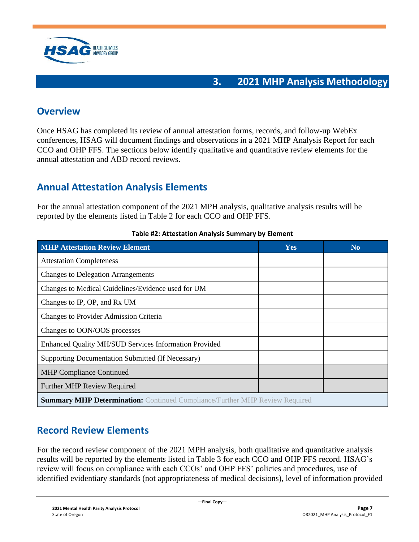

### **3. 2021 MHP Analysis Methodology**

#### <span id="page-6-1"></span><span id="page-6-0"></span>**Overview**

Once HSAG has completed its review of annual attestation forms, records, and follow-up WebEx conferences, HSAG will document findings and observations in a 2021 MHP Analysis Report for each CCO and OHP FFS. The sections below identify qualitative and quantitative review elements for the annual attestation and ABD record reviews.

### <span id="page-6-2"></span>**Annual Attestation Analysis Elements**

For the annual attestation component of the 2021 MPH analysis, qualitative analysis results will be reported by the elements listed in Table 2 for each CCO and OHP FFS.

| <b>MHP Attestation Review Element</b>                                              | <b>Yes</b> | N <sub>0</sub> |  |  |
|------------------------------------------------------------------------------------|------------|----------------|--|--|
| <b>Attestation Completeness</b>                                                    |            |                |  |  |
| <b>Changes to Delegation Arrangements</b>                                          |            |                |  |  |
| Changes to Medical Guidelines/Evidence used for UM                                 |            |                |  |  |
| Changes to IP, OP, and Rx UM                                                       |            |                |  |  |
| <b>Changes to Provider Admission Criteria</b>                                      |            |                |  |  |
| Changes to OON/OOS processes                                                       |            |                |  |  |
| Enhanced Quality MH/SUD Services Information Provided                              |            |                |  |  |
| Supporting Documentation Submitted (If Necessary)                                  |            |                |  |  |
| <b>MHP Compliance Continued</b>                                                    |            |                |  |  |
| <b>Further MHP Review Required</b>                                                 |            |                |  |  |
| <b>Summary MHP Determination:</b> Continued Compliance/Further MHP Review Required |            |                |  |  |

#### **Table #2: Attestation Analysis Summary by Element**

#### <span id="page-6-3"></span>**Record Review Elements**

For the record review component of the 2021 MPH analysis, both qualitative and quantitative analysis results will be reported by the elements listed in Table 3 for each CCO and OHP FFS record. HSAG's review will focus on compliance with each CCOs' and OHP FFS' policies and procedures, use of identified evidentiary standards (not appropriateness of medical decisions), level of information provided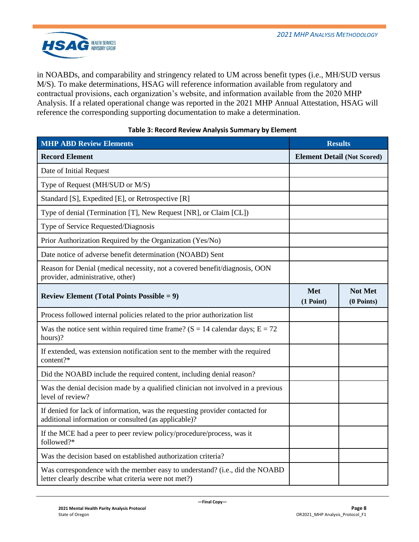

in NOABDs, and comparability and stringency related to UM across benefit types (i.e., MH/SUD versus M/S). To make determinations, HSAG will reference information available from regulatory and contractual provisions, each organization's website, and information available from the 2020 MHP Analysis. If a related operational change was reported in the 2021 MHP Annual Attestation, HSAG will reference the corresponding supporting documentation to make a determination.

| <b>MHP ABD Review Elements</b>                                                                                                       | <b>Results</b>                     |                                |  |  |
|--------------------------------------------------------------------------------------------------------------------------------------|------------------------------------|--------------------------------|--|--|
| <b>Record Element</b>                                                                                                                | <b>Element Detail (Not Scored)</b> |                                |  |  |
| Date of Initial Request                                                                                                              |                                    |                                |  |  |
| Type of Request (MH/SUD or M/S)                                                                                                      |                                    |                                |  |  |
| Standard [S], Expedited [E], or Retrospective [R]                                                                                    |                                    |                                |  |  |
| Type of denial (Termination [T], New Request [NR], or Claim [CL])                                                                    |                                    |                                |  |  |
| Type of Service Requested/Diagnosis                                                                                                  |                                    |                                |  |  |
| Prior Authorization Required by the Organization (Yes/No)                                                                            |                                    |                                |  |  |
| Date notice of adverse benefit determination (NOABD) Sent                                                                            |                                    |                                |  |  |
| Reason for Denial (medical necessity, not a covered benefit/diagnosis, OON<br>provider, administrative, other)                       |                                    |                                |  |  |
| <b>Review Element (Total Points Possible = 9)</b>                                                                                    | Met<br>(1 Point)                   | <b>Not Met</b><br>$(0$ Points) |  |  |
| Process followed internal policies related to the prior authorization list                                                           |                                    |                                |  |  |
| Was the notice sent within required time frame? ( $S = 14$ calendar days; $E = 72$<br>hours)?                                        |                                    |                                |  |  |
| If extended, was extension notification sent to the member with the required<br>content?*                                            |                                    |                                |  |  |
| Did the NOABD include the required content, including denial reason?                                                                 |                                    |                                |  |  |
| Was the denial decision made by a qualified clinician not involved in a previous<br>level of review?                                 |                                    |                                |  |  |
| If denied for lack of information, was the requesting provider contacted for<br>additional information or consulted (as applicable)? |                                    |                                |  |  |
| If the MCE had a peer to peer review policy/procedure/process, was it<br>followed?*                                                  |                                    |                                |  |  |
| Was the decision based on established authorization criteria?                                                                        |                                    |                                |  |  |
| Was correspondence with the member easy to understand? (i.e., did the NOABD<br>letter clearly describe what criteria were not met?)  |                                    |                                |  |  |

#### **Table 3: Record Review Analysis Summary by Element**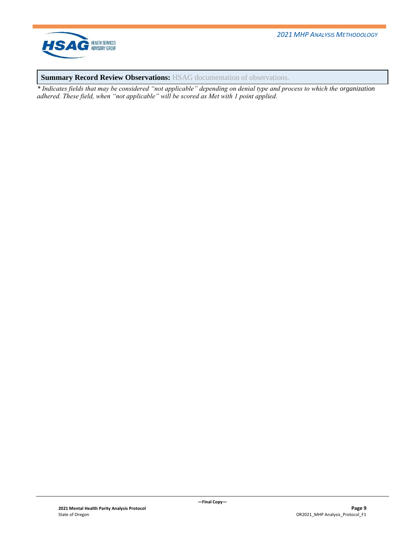

**Summary Record Review Observations:** HSAG documentation of observations.

*\* Indicates fields that may be considered "not applicable" depending on denial type and process to which the organization adhered. These field, when "not applicable" will be scored as Met with 1 point applied.*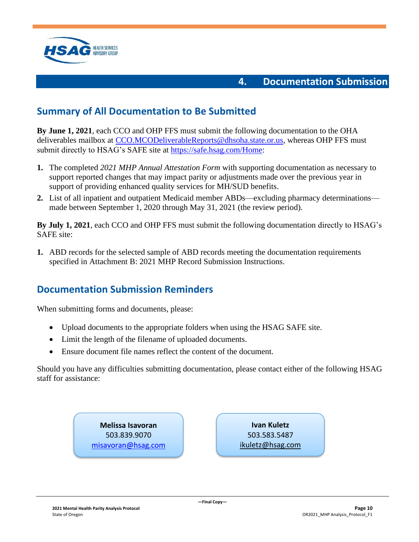

#### **4. Documentation Submission**

#### <span id="page-9-1"></span><span id="page-9-0"></span>**Summary of All Documentation to Be Submitted**

**By June 1, 2021**, each CCO and OHP FFS must submit the following documentation to the OHA deliverables mailbox at [CCO.MCODeliverableReports@dhsoha.state.or.us,](mailto:CCO.MCODeliverableReports@dhsoha.state.or.us) whereas OHP FFS must submit directly to HSAG's SAFE site at [https://safe.hsag.com/Home:](https://safe.hsag.com/Home)

- **1.** The completed *2021 MHP Annual Attestation Form* with supporting documentation as necessary to support reported changes that may impact parity or adjustments made over the previous year in support of providing enhanced quality services for MH/SUD benefits.
- **2.** List of all inpatient and outpatient Medicaid member ABDs—excluding pharmacy determinations made between September 1, 2020 through May 31, 2021 (the review period).

**By July 1, 2021**, each CCO and OHP FFS must submit the following documentation directly to HSAG's SAFE site:

**1.** ABD records for the selected sample of ABD records meeting the documentation requirements specified in Attachment B: 2021 MHP Record Submission Instructions.

#### <span id="page-9-2"></span>**Documentation Submission Reminders**

When submitting forms and documents, please:

- Upload documents to the appropriate folders when using the HSAG SAFE site.
- Limit the length of the filename of uploaded documents.
- Ensure document file names reflect the content of the document.

Should you have any difficulties submitting documentation, please contact either of the following HSAG staff for assistance:

> **Melissa Isavoran** 503.839.9070 [misavoran@hsag.com](mailto:misavoran@hsag.com)

**Ivan Kuletz** 503.583.5487 [ikuletz@hsag.com](mailto:jletter@hsag.com)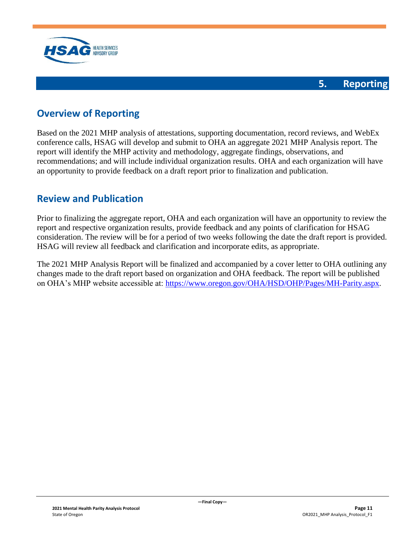

# <span id="page-10-1"></span><span id="page-10-0"></span>**Overview of Reporting**

Based on the 2021 MHP analysis of attestations, supporting documentation, record reviews, and WebEx conference calls, HSAG will develop and submit to OHA an aggregate 2021 MHP Analysis report. The report will identify the MHP activity and methodology, aggregate findings, observations, and recommendations; and will include individual organization results. OHA and each organization will have an opportunity to provide feedback on a draft report prior to finalization and publication.

#### <span id="page-10-2"></span>**Review and Publication**

Prior to finalizing the aggregate report, OHA and each organization will have an opportunity to review the report and respective organization results, provide feedback and any points of clarification for HSAG consideration. The review will be for a period of two weeks following the date the draft report is provided. HSAG will review all feedback and clarification and incorporate edits, as appropriate.

The 2021 MHP Analysis Report will be finalized and accompanied by a cover letter to OHA outlining any changes made to the draft report based on organization and OHA feedback. The report will be published on OHA's MHP website accessible at: [https://www.oregon.gov/OHA/HSD/OHP/Pages/MH-Parity.aspx.](https://www.oregon.gov/OHA/HSD/OHP/Pages/MH-Parity.aspx)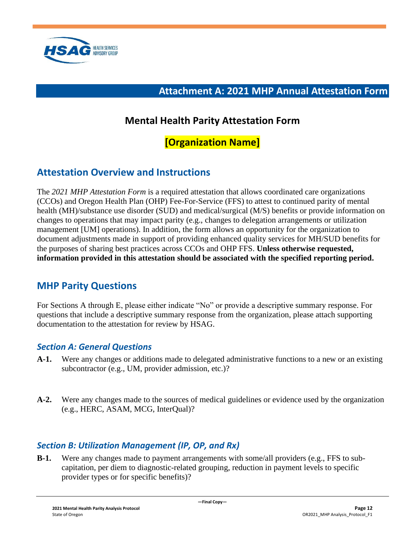<span id="page-11-0"></span>

## **Attachment A: 2021 MHP Annual Attestation Form**

### **Mental Health Parity Attestation Form**

**[Organization Name]**

#### <span id="page-11-1"></span>**Attestation Overview and Instructions**

The *2021 MHP Attestation Form* is a required attestation that allows coordinated care organizations (CCOs) and Oregon Health Plan (OHP) Fee-For-Service (FFS) to attest to continued parity of mental health (MH)/substance use disorder (SUD) and medical/surgical (M/S) benefits or provide information on changes to operations that may impact parity (e.g., changes to delegation arrangements or utilization management [UM] operations). In addition, the form allows an opportunity for the organization to document adjustments made in support of providing enhanced quality services for MH/SUD benefits for the purposes of sharing best practices across CCOs and OHP FFS. **Unless otherwise requested, information provided in this attestation should be associated with the specified reporting period.**

#### <span id="page-11-2"></span>**MHP Parity Questions**

For Sections A through E, please either indicate "No" or provide a descriptive summary response. For questions that include a descriptive summary response from the organization, please attach supporting documentation to the attestation for review by HSAG.

#### <span id="page-11-3"></span>*Section A: General Questions*

- **A-1.** Were any changes or additions made to delegated administrative functions to a new or an existing subcontractor (e.g., UM, provider admission, etc.)?
- **A-2.** Were any changes made to the sources of medical guidelines or evidence used by the organization (e.g., HERC, ASAM, MCG, InterQual)?

#### <span id="page-11-4"></span>*Section B: Utilization Management (IP, OP, and Rx)*

**B-1.** Were any changes made to payment arrangements with some/all providers (e.g., FFS to subcapitation, per diem to diagnostic-related grouping, reduction in payment levels to specific provider types or for specific benefits)?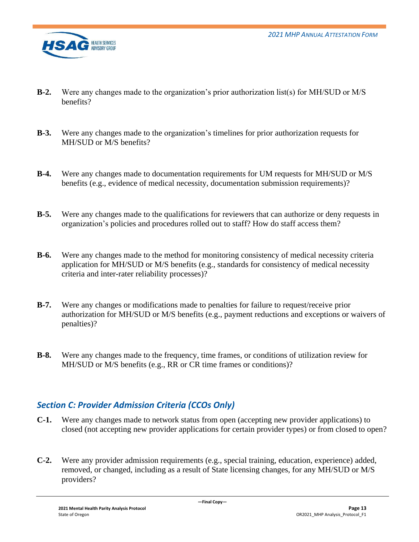

- **B-2.** Were any changes made to the organization's prior authorization list(s) for MH/SUD or M/S benefits?
- **B-3.** Were any changes made to the organization's timelines for prior authorization requests for MH/SUD or M/S benefits?
- **B-4.** Were any changes made to documentation requirements for UM requests for MH/SUD or M/S benefits (e.g., evidence of medical necessity, documentation submission requirements)?
- **B-5.** Were any changes made to the qualifications for reviewers that can authorize or deny requests in organization's policies and procedures rolled out to staff? How do staff access them?
- **B-6.** Were any changes made to the method for monitoring consistency of medical necessity criteria application for MH/SUD or M/S benefits (e.g., standards for consistency of medical necessity criteria and inter-rater reliability processes)?
- **B-7.** Were any changes or modifications made to penalties for failure to request/receive prior authorization for MH/SUD or M/S benefits (e.g., payment reductions and exceptions or waivers of penalties)?
- **B-8.** Were any changes made to the frequency, time frames, or conditions of utilization review for MH/SUD or M/S benefits (e.g., RR or CR time frames or conditions)?

#### <span id="page-12-0"></span>*Section C: Provider Admission Criteria (CCOs Only)*

- **C-1.** Were any changes made to network status from open (accepting new provider applications) to closed (not accepting new provider applications for certain provider types) or from closed to open?
- **C-2.** Were any provider admission requirements (e.g., special training, education, experience) added, removed, or changed, including as a result of State licensing changes, for any MH/SUD or M/S providers?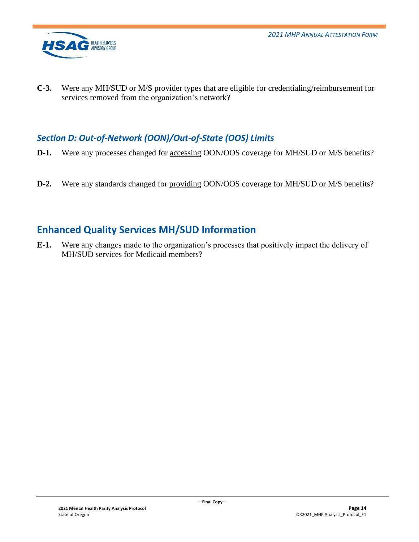

**C-3.** Were any MH/SUD or M/S provider types that are eligible for credentialing/reimbursement for services removed from the organization's network?

#### <span id="page-13-0"></span>*Section D: Out-of-Network (OON)/Out-of-State (OOS) Limits*

- **D-1.** Were any processes changed for accessing OON/OOS coverage for MH/SUD or M/S benefits?
- **D-2.** Were any standards changed for providing OON/OOS coverage for MH/SUD or M/S benefits?

#### <span id="page-13-1"></span>**Enhanced Quality Services MH/SUD Information**

<span id="page-13-2"></span>**E-1.** Were any changes made to the organization's processes that positively impact the delivery of MH/SUD services for Medicaid members?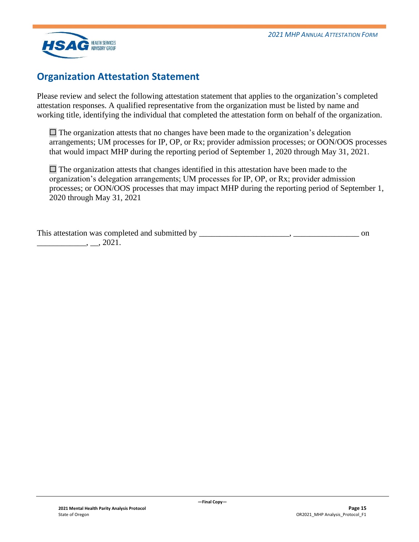

## **Organization Attestation Statement**

Please review and select the following attestation statement that applies to the organization's completed attestation responses. A qualified representative from the organization must be listed by name and working title, identifying the individual that completed the attestation form on behalf of the organization.

 $\Box$  The organization attests that no changes have been made to the organization's delegation arrangements; UM processes for IP, OP, or Rx; provider admission processes; or OON/OOS processes that would impact MHP during the reporting period of September 1, 2020 through May 31, 2021.

 $\Box$  The organization attests that changes identified in this attestation have been made to the organization's delegation arrangements; UM processes for IP, OP, or Rx; provider admission processes; or OON/OOS processes that may impact MHP during the reporting period of September 1, 2020 through May 31, 2021

This attestation was completed and submitted by \_\_\_\_\_\_\_\_\_\_\_\_\_\_\_\_\_\_\_\_\_\_, \_\_\_\_\_\_\_\_\_\_\_\_\_\_\_\_ on  $\frac{1}{2021}$ .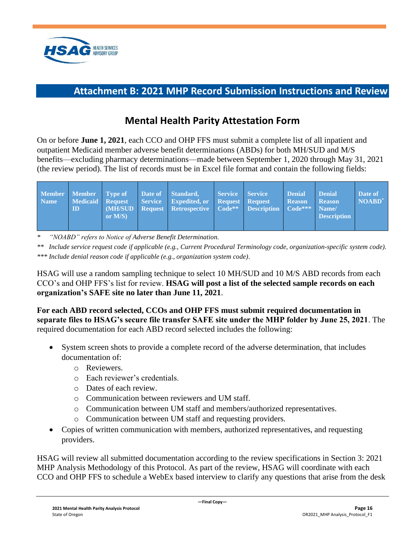

#### <span id="page-15-0"></span>**Attachment B: 2021 MHP Record Submission Instructions and Review**

### **Mental Health Parity Attestation Form**

On or before **June 1, 2021**, each CCO and OHP FFS must submit a complete list of all inpatient and outpatient Medicaid member adverse benefit determinations (ABDs) for both MH/SUD and M/S benefits—excluding pharmacy determinations—made between September 1, 2020 through May 31, 2021 (the review period). The list of records must be in Excel file format and contain the following fields:

| <b>Member</b><br><b>Name</b> | Member<br>Medicaid Request<br>ID | Type of<br>or $M/S$ ) | Service | Date of Standard,<br><b>Expedited, or Request Request</b><br>(MH/SUD Request Retrospective Code <sup>**</sup> Description | Service | Service | <b>Denial</b><br><b>Reason</b><br>$\blacksquare$ Code*** $\blacksquare$ | <b>Denial</b><br><b>Reason</b><br>Name/<br><b>Description</b> | Date of<br>NOABD <sup>*</sup> |
|------------------------------|----------------------------------|-----------------------|---------|---------------------------------------------------------------------------------------------------------------------------|---------|---------|-------------------------------------------------------------------------|---------------------------------------------------------------|-------------------------------|
|------------------------------|----------------------------------|-----------------------|---------|---------------------------------------------------------------------------------------------------------------------------|---------|---------|-------------------------------------------------------------------------|---------------------------------------------------------------|-------------------------------|

*\* "NOABD" refers to Notice of Adverse Benefit Determination.*

*\*\* Include service request code if applicable (e.g., Current Procedural Terminology code, organization-specific system code). \*\*\* Include denial reason code if applicable (e.g., organization system code).*

HSAG will use a random sampling technique to select 10 MH/SUD and 10 M/S ABD records from each CCO's and OHP FFS's list for review. **HSAG will post a list of the selected sample records on each organization's SAFE site no later than June 11, 2021**.

**For each ABD record selected, CCOs and OHP FFS must submit required documentation in separate files to HSAG's secure file transfer SAFE site under the MHP folder by June 25, 2021**. The required documentation for each ABD record selected includes the following:

- System screen shots to provide a complete record of the adverse determination, that includes documentation of:
	- o Reviewers.
	- o Each reviewer's credentials.
	- o Dates of each review.
	- o Communication between reviewers and UM staff.
	- o Communication between UM staff and members/authorized representatives.
	- o Communication between UM staff and requesting providers.
- Copies of written communication with members, authorized representatives, and requesting providers.

HSAG will review all submitted documentation according to the review specifications in Section 3: 2021 MHP Analysis Methodology of this Protocol. As part of the review, HSAG will coordinate with each CCO and OHP FFS to schedule a WebEx based interview to clarify any questions that arise from the desk